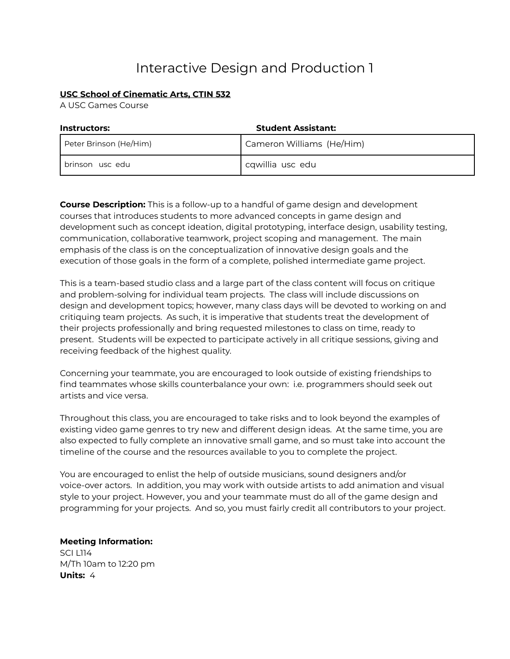# Interactive Design and Production 1

# **USC School of Cinematic Arts, CTIN 532**

A USC Games Course

| <b>Student Assistant:</b><br><b>Instructors:</b> |                           |
|--------------------------------------------------|---------------------------|
| Peter Brinson (He/Him)                           | Cameron Williams (He/Him) |
| brinson usc edu                                  | cqwillia usc edu          |

**Course Description:** This is a follow-up to a handful of game design and development courses that introduces students to more advanced concepts in game design and development such as concept ideation, digital prototyping, interface design, usability testing, communication, collaborative teamwork, project scoping and management. The main emphasis of the class is on the conceptualization of innovative design goals and the execution of those goals in the form of a complete, polished intermediate game project.

This is a team-based studio class and a large part of the class content will focus on critique and problem-solving for individual team projects. The class will include discussions on design and development topics; however, many class days will be devoted to working on and critiquing team projects. As such, it is imperative that students treat the development of their projects professionally and bring requested milestones to class on time, ready to present. Students will be expected to participate actively in all critique sessions, giving and receiving feedback of the highest quality.

Concerning your teammate, you are encouraged to look outside of existing friendships to find teammates whose skills counterbalance your own: i.e. programmers should seek out artists and vice versa.

Throughout this class, you are encouraged to take risks and to look beyond the examples of existing video game genres to try new and different design ideas. At the same time, you are also expected to fully complete an innovative small game, and so must take into account the timeline of the course and the resources available to you to complete the project.

You are encouraged to enlist the help of outside musicians, sound designers and/or voice-over actors. In addition, you may work with outside artists to add animation and visual style to your project. However, you and your teammate must do all of the game design and programming for your projects. And so, you must fairly credit all contributors to your project.

**Meeting Information:** SCI L114 M/Th 10am to 12:20 pm **Units:** 4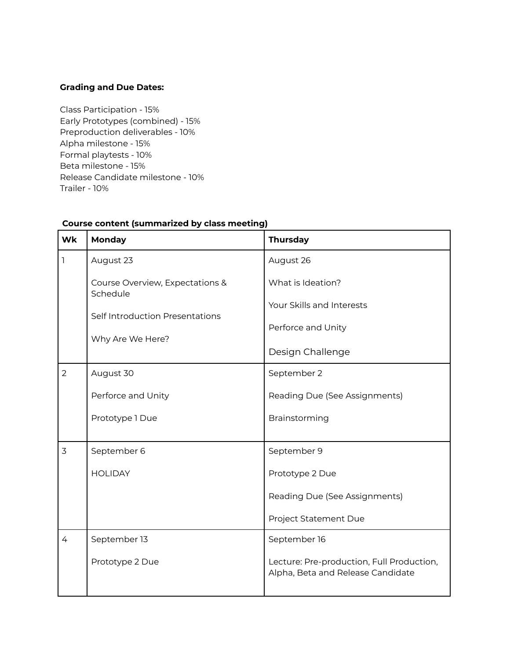## **Grading and Due Dates:**

Class Participation - 15% Early Prototypes (combined) - 15% Preproduction deliverables - 10% Alpha milestone - 15% Formal playtests - 10% Beta milestone - 15% Release Candidate milestone - 10% Trailer - 10%

| <b>Wk</b>      | Monday                                      | <b>Thursday</b>                                                                |
|----------------|---------------------------------------------|--------------------------------------------------------------------------------|
| ı              | August 23                                   | August 26                                                                      |
|                | Course Overview, Expectations &<br>Schedule | What is Ideation?                                                              |
|                | Self Introduction Presentations             | Your Skills and Interests                                                      |
|                | Why Are We Here?                            | Perforce and Unity                                                             |
|                |                                             | Design Challenge                                                               |
| $\overline{2}$ | August 30                                   | September 2                                                                    |
|                | Perforce and Unity                          | Reading Due (See Assignments)                                                  |
|                | Prototype 1 Due                             | Brainstorming                                                                  |
| 3              | September 6                                 | September 9                                                                    |
|                | <b>HOLIDAY</b>                              | Prototype 2 Due                                                                |
|                |                                             | Reading Due (See Assignments)                                                  |
|                |                                             | Project Statement Due                                                          |
| 4              | September 13                                | September 16                                                                   |
|                | Prototype 2 Due                             | Lecture: Pre-production, Full Production,<br>Alpha, Beta and Release Candidate |

#### **Course content (summarized by class meeting)**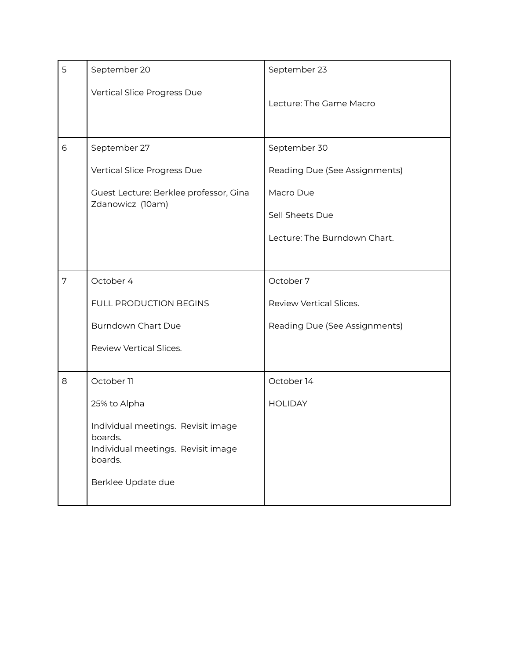| 5 | September 20                                                                                                         | September 23                  |
|---|----------------------------------------------------------------------------------------------------------------------|-------------------------------|
|   | Vertical Slice Progress Due                                                                                          | Lecture: The Game Macro       |
| 6 | September 27                                                                                                         | September 30                  |
|   | Vertical Slice Progress Due                                                                                          | Reading Due (See Assignments) |
|   | Guest Lecture: Berklee professor, Gina                                                                               | Macro Due                     |
|   | Zdanowicz (10am)                                                                                                     | Sell Sheets Due               |
|   |                                                                                                                      | Lecture: The Burndown Chart.  |
|   |                                                                                                                      |                               |
| 7 | October 4                                                                                                            | October 7                     |
|   | FULL PRODUCTION BEGINS                                                                                               | Review Vertical Slices.       |
|   | <b>Burndown Chart Due</b>                                                                                            | Reading Due (See Assignments) |
|   | Review Vertical Slices.                                                                                              |                               |
| 8 | October 11                                                                                                           | October 14                    |
|   | 25% to Alpha                                                                                                         | <b>HOLIDAY</b>                |
|   | Individual meetings. Revisit image<br>boards.<br>Individual meetings. Revisit image<br>boards.<br>Berklee Update due |                               |
|   |                                                                                                                      |                               |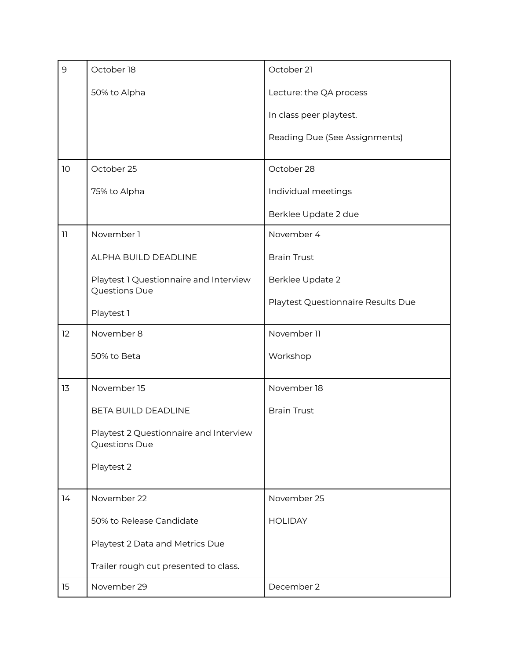| $\mathsf 9$     | October 18                                              | October 21                         |
|-----------------|---------------------------------------------------------|------------------------------------|
|                 | 50% to Alpha                                            | Lecture: the QA process            |
|                 |                                                         | In class peer playtest.            |
|                 |                                                         | Reading Due (See Assignments)      |
| 10              | October 25                                              | October 28                         |
|                 | 75% to Alpha                                            | Individual meetings                |
|                 |                                                         | Berklee Update 2 due               |
| $\overline{11}$ | November 1                                              | November 4                         |
|                 | ALPHA BUILD DEADLINE                                    | <b>Brain Trust</b>                 |
|                 | Playtest 1 Questionnaire and Interview                  | Berklee Update 2                   |
|                 | Questions Due                                           | Playtest Questionnaire Results Due |
|                 | Playtest 1                                              |                                    |
| 12              | November 8                                              | November 11                        |
|                 | 50% to Beta                                             | Workshop                           |
| 13              | November 15                                             | November 18                        |
|                 | BETA BUILD DEADLINE                                     | <b>Brain Trust</b>                 |
|                 | Playtest 2 Questionnaire and Interview<br>Questions Due |                                    |
|                 | Playtest 2                                              |                                    |
| 14              | November 22                                             | November 25                        |
|                 | 50% to Release Candidate                                | <b>HOLIDAY</b>                     |
|                 | Playtest 2 Data and Metrics Due                         |                                    |
|                 | Trailer rough cut presented to class.                   |                                    |
| 15              | November 29                                             | December 2                         |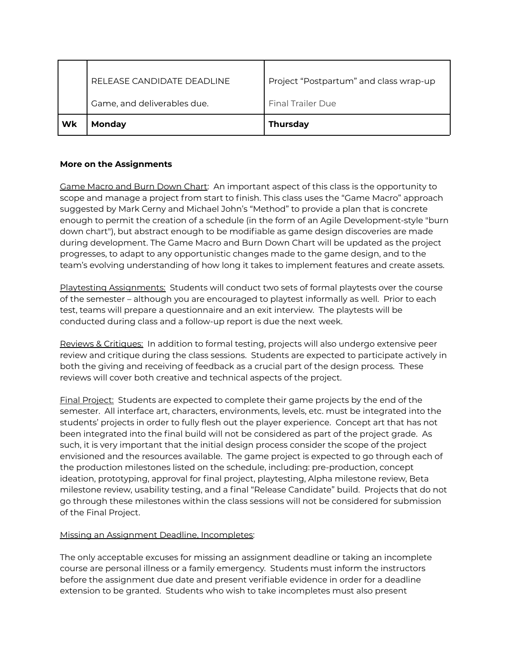|    | RELEASE CANDIDATE DEADLINE  | Project "Postpartum" and class wrap-up |
|----|-----------------------------|----------------------------------------|
|    | Game, and deliverables due. | <b>Final Trailer Due</b>               |
| Wk | Monday                      | <b>Thursday</b>                        |

# **More on the Assignments**

Game Macro and Burn Down Chart: An important aspect of this class is the opportunity to scope and manage a project from start to finish. This class uses the "Game Macro" approach suggested by Mark Cerny and Michael John's "Method" to provide a plan that is concrete enough to permit the creation of a schedule (in the form of an Agile Development-style "burn down chart"), but abstract enough to be modifiable as game design discoveries are made during development. The Game Macro and Burn Down Chart will be updated as the project progresses, to adapt to any opportunistic changes made to the game design, and to the team's evolving understanding of how long it takes to implement features and create assets.

Playtesting Assignments: Students will conduct two sets of formal playtests over the course of the semester – although you are encouraged to playtest informally as well. Prior to each test, teams will prepare a questionnaire and an exit interview. The playtests will be conducted during class and a follow-up report is due the next week.

Reviews & Critiques: In addition to formal testing, projects will also undergo extensive peer review and critique during the class sessions. Students are expected to participate actively in both the giving and receiving of feedback as a crucial part of the design process. These reviews will cover both creative and technical aspects of the project.

Final Project: Students are expected to complete their game projects by the end of the semester. All interface art, characters, environments, levels, etc. must be integrated into the students' projects in order to fully flesh out the player experience. Concept art that has not been integrated into the final build will not be considered as part of the project grade. As such, it is very important that the initial design process consider the scope of the project envisioned and the resources available. The game project is expected to go through each of the production milestones listed on the schedule, including: pre-production, concept ideation, prototyping, approval for final project, playtesting, Alpha milestone review, Beta milestone review, usability testing, and a final "Release Candidate" build. Projects that do not go through these milestones within the class sessions will not be considered for submission of the Final Project.

## Missing an Assignment Deadline, Incompletes:

The only acceptable excuses for missing an assignment deadline or taking an incomplete course are personal illness or a family emergency. Students must inform the instructors before the assignment due date and present verifiable evidence in order for a deadline extension to be granted. Students who wish to take incompletes must also present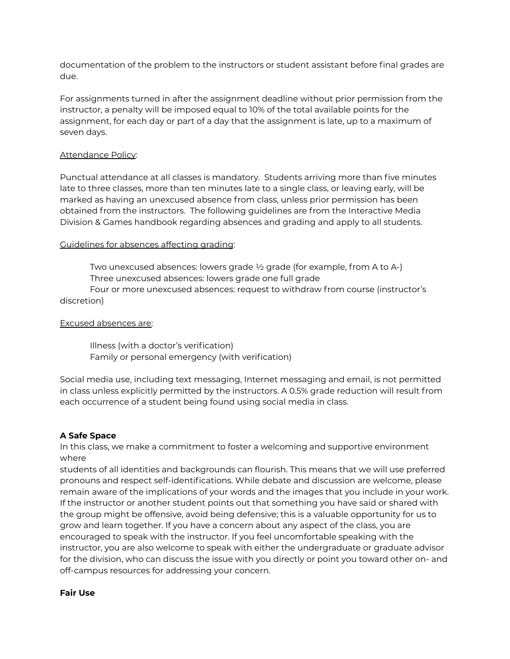documentation of the problem to the instructors or student assistant before final grades are due.

For assignments turned in after the assignment deadline without prior permission from the instructor, a penalty will be imposed equal to 10% of the total available points for the assignment, for each day or part of a day that the assignment is late, up to a maximum of seven days.

#### Attendance Policy:

Punctual attendance at all classes is mandatory. Students arriving more than five minutes late to three classes, more than ten minutes late to a single class, or leaving early, will be marked as having an unexcused absence from class, unless prior permission has been obtained from the instructors. The following guidelines are from the Interactive Media Division & Games handbook regarding absences and grading and apply to all students.

## Guidelines for absences affecting grading:

Two unexcused absences: lowers grade ½ grade (for example, from A to A-) Three unexcused absences: lowers grade one full grade

Four or more unexcused absences: request to withdraw from course (instructor's discretion)

#### Excused absences are:

Illness (with a doctor's verification) Family or personal emergency (with verification)

Social media use, including text messaging, Internet messaging and email, is not permitted in class unless explicitly permitted by the instructors. A 0.5% grade reduction will result from each occurrence of a student being found using social media in class.

#### **A Safe Space**

In this class, we make a commitment to foster a welcoming and supportive environment where

students of all identities and backgrounds can flourish. This means that we will use preferred pronouns and respect self-identifications. While debate and discussion are welcome, please remain aware of the implications of your words and the images that you include in your work. If the instructor or another student points out that something you have said or shared with the group might be offensive, avoid being defensive; this is a valuable opportunity for us to grow and learn together. If you have a concern about any aspect of the class, you are encouraged to speak with the instructor. If you feel uncomfortable speaking with the instructor, you are also welcome to speak with either the undergraduate or graduate advisor for the division, who can discuss the issue with you directly or point you toward other on- and off-campus resources for addressing your concern.

#### **Fair Use**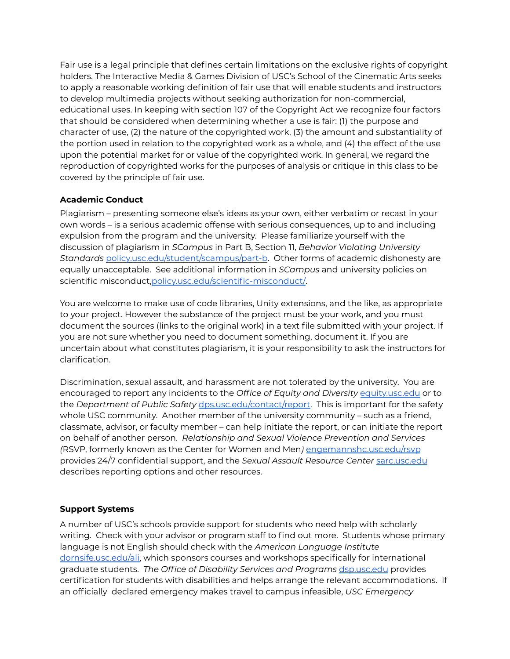Fair use is a legal principle that defines certain limitations on the exclusive rights of copyright holders. The Interactive Media & Games Division of USC's School of the Cinematic Arts seeks to apply a reasonable working definition of fair use that will enable students and instructors to develop multimedia projects without seeking authorization for non-commercial, educational uses. In keeping with section 107 of the Copyright Act we recognize four factors that should be considered when determining whether a use is fair: (1) the purpose and character of use, (2) the nature of the copyrighted work, (3) the amount and substantiality of the portion used in relation to the copyrighted work as a whole, and (4) the effect of the use upon the potential market for or value of the copyrighted work. In general, we regard the reproduction of copyrighted works for the purposes of analysis or critique in this class to be covered by the principle of fair use.

# **Academic Conduct**

Plagiarism – presenting someone else's ideas as your own, either verbatim or recast in your own words – is a serious academic offense with serious consequences, up to and including expulsion from the program and the university. Please familiarize yourself with the discussion of plagiarism in *SCampus* in Part B, Section 11, *Behavior Violating University Standards* [policy.usc.edu/student/scampus/part-b](https://policy.usc.edu/student/scampus/part-b/). Other forms of academic dishonesty are equally unacceptable. See additional information in *SCampus* and university policies on scientific misconduct[,policy.usc.edu/scientific-misconduct/](http://policy.usc.edu/scientific-misconduct/).

You are welcome to make use of code libraries, Unity extensions, and the like, as appropriate to your project. However the substance of the project must be your work, and you must document the sources (links to the original work) in a text file submitted with your project. If you are not sure whether you need to document something, document it. If you are uncertain about what constitutes plagiarism, it is your responsibility to ask the instructors for clarification.

Discrimination, sexual assault, and harassment are not tolerated by the university. You are encouraged to report any incidents to the *Office of Equity and Diversity* [equity.usc.edu](http://equity.usc.edu/) or to the *Department of Public Safety* [dps.usc.edu/contact/report.](http://dps.usc.edu/contact/report/) This is important for the safety whole USC community. Another member of the university community – such as a friend, classmate, advisor, or faculty member – can help initiate the report, or can initiate the report on behalf of another person. *Relationship and Sexual Violence Prevention and Services (*RSVP, formerly known as the Center for Women and Men*)* [engemannshc.usc.edu/rsvp](https://engemannshc.usc.edu/rsvp/) provides 24/7 confidential support, and the *Sexual Assault Resource Center* [sarc.usc.edu](https://sarc.usc.edu/) describes reporting options and other resources.

## **Support Systems**

A number of USC's schools provide support for students who need help with scholarly writing. Check with your advisor or program staff to find out more. Students whose primary language is not English should check with the *American Language Institute* [dornsife.usc.edu/ali,](http://dornsife.usc.edu/ali) which sponsors courses and workshops specifically for international graduate students. *The Office of Disability Services and Programs* [dsp.usc.edu](http://dsp.usc.edu/) provides certification for students with disabilities and helps arrange the relevant accommodations. If an officially declared emergency makes travel to campus infeasible, *USC Emergency*